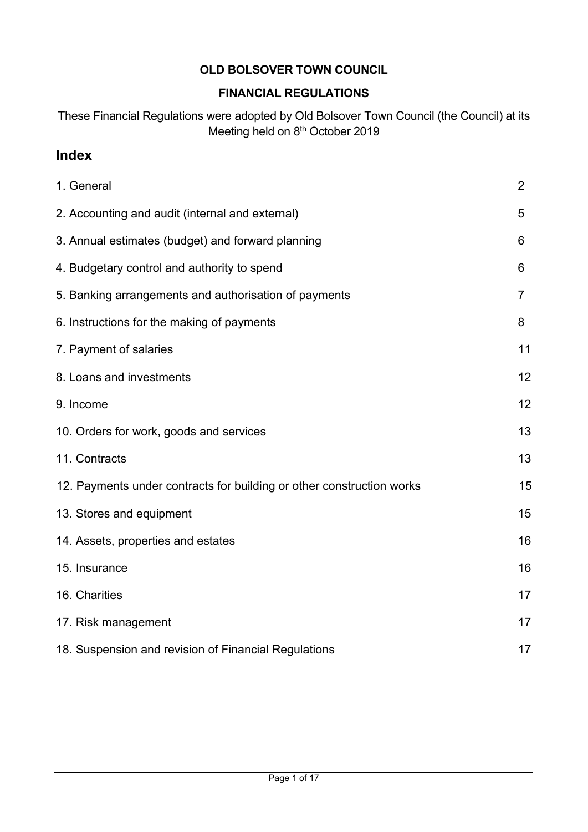# **OLD BOLSOVER TOWN COUNCIL**

### **FINANCIAL REGULATIONS**

These Financial Regulations were adopted by Old Bolsover Town Council (the Council) at its Meeting held on 8<sup>th</sup> October 2019

# **Index**

| 1. General                                                            | $\overline{2}$ |
|-----------------------------------------------------------------------|----------------|
| 2. Accounting and audit (internal and external)                       | 5              |
| 3. Annual estimates (budget) and forward planning                     | 6              |
| 4. Budgetary control and authority to spend                           | 6              |
| 5. Banking arrangements and authorisation of payments                 | $\overline{7}$ |
| 6. Instructions for the making of payments                            | 8              |
| 7. Payment of salaries                                                | 11             |
| 8. Loans and investments                                              | 12             |
| 9. Income                                                             | 12             |
| 10. Orders for work, goods and services                               | 13             |
| 11. Contracts                                                         | 13             |
| 12. Payments under contracts for building or other construction works | 15             |
| 13. Stores and equipment                                              | 15             |
| 14. Assets, properties and estates                                    | 16             |
| 15. Insurance                                                         | 16             |
| 16. Charities                                                         | 17             |
| 17. Risk management                                                   | 17             |
| 18. Suspension and revision of Financial Regulations                  | 17             |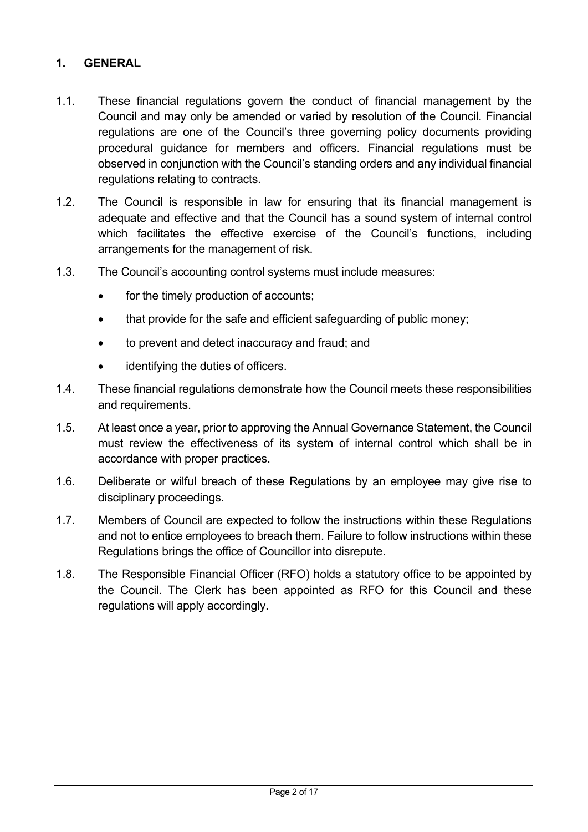#### **1. GENERAL**

- 1.1. These financial regulations govern the conduct of financial management by the Council and may only be amended or varied by resolution of the Council. Financial regulations are one of the Council's three governing policy documents providing procedural guidance for members and officers. Financial regulations must be observed in conjunction with the Council's standing orders and any individual financial regulations relating to contracts.
- 1.2. The Council is responsible in law for ensuring that its financial management is adequate and effective and that the Council has a sound system of internal control which facilitates the effective exercise of the Council's functions, including arrangements for the management of risk.
- 1.3. The Council's accounting control systems must include measures:
	- for the timely production of accounts;
	- that provide for the safe and efficient safeguarding of public money;
	- to prevent and detect inaccuracy and fraud; and
	- identifying the duties of officers.
- 1.4. These financial regulations demonstrate how the Council meets these responsibilities and requirements.
- 1.5. At least once a year, prior to approving the Annual Governance Statement, the Council must review the effectiveness of its system of internal control which shall be in accordance with proper practices.
- 1.6. Deliberate or wilful breach of these Regulations by an employee may give rise to disciplinary proceedings.
- 1.7. Members of Council are expected to follow the instructions within these Regulations and not to entice employees to breach them. Failure to follow instructions within these Regulations brings the office of Councillor into disrepute.
- 1.8. The Responsible Financial Officer (RFO) holds a statutory office to be appointed by the Council. The Clerk has been appointed as RFO for this Council and these regulations will apply accordingly.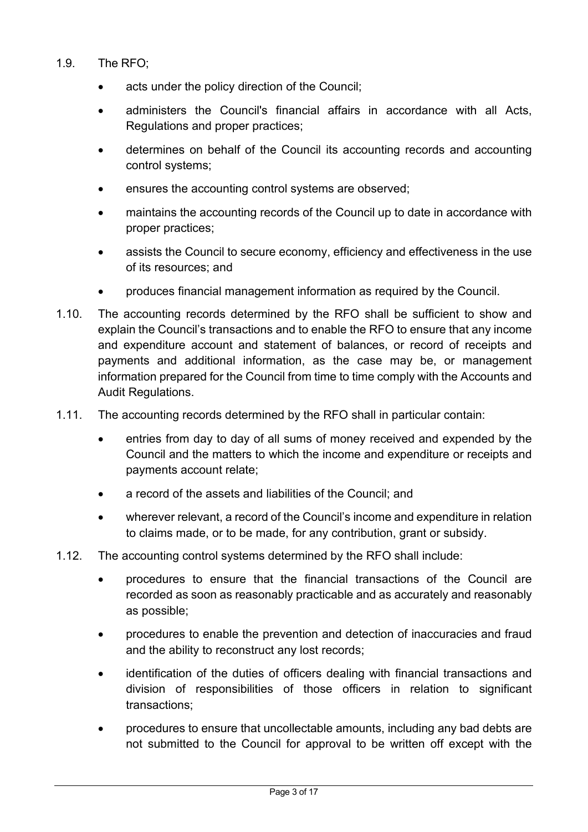#### 1.9. The RFO;

- acts under the policy direction of the Council;
- administers the Council's financial affairs in accordance with all Acts, Regulations and proper practices;
- determines on behalf of the Council its accounting records and accounting control systems;
- ensures the accounting control systems are observed;
- maintains the accounting records of the Council up to date in accordance with proper practices;
- assists the Council to secure economy, efficiency and effectiveness in the use of its resources; and
- produces financial management information as required by the Council.
- 1.10. The accounting records determined by the RFO shall be sufficient to show and explain the Council's transactions and to enable the RFO to ensure that any income and expenditure account and statement of balances, or record of receipts and payments and additional information, as the case may be, or management information prepared for the Council from time to time comply with the Accounts and Audit Regulations.
- 1.11. The accounting records determined by the RFO shall in particular contain:
	- entries from day to day of all sums of money received and expended by the Council and the matters to which the income and expenditure or receipts and payments account relate;
	- a record of the assets and liabilities of the Council; and
	- wherever relevant, a record of the Council's income and expenditure in relation to claims made, or to be made, for any contribution, grant or subsidy.
- 1.12. The accounting control systems determined by the RFO shall include:
	- procedures to ensure that the financial transactions of the Council are recorded as soon as reasonably practicable and as accurately and reasonably as possible;
	- procedures to enable the prevention and detection of inaccuracies and fraud and the ability to reconstruct any lost records;
	- identification of the duties of officers dealing with financial transactions and division of responsibilities of those officers in relation to significant transactions;
	- procedures to ensure that uncollectable amounts, including any bad debts are not submitted to the Council for approval to be written off except with the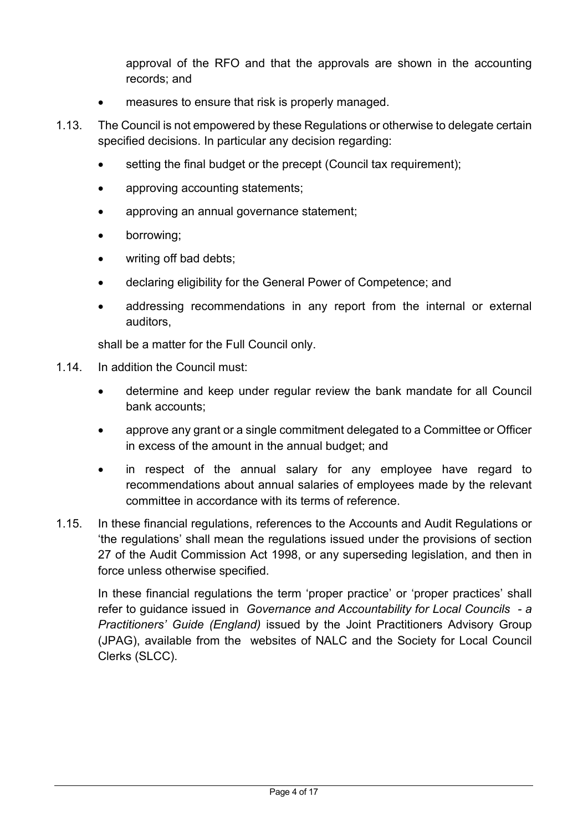approval of the RFO and that the approvals are shown in the accounting records; and

- measures to ensure that risk is properly managed.
- 1.13. The Council is not empowered by these Regulations or otherwise to delegate certain specified decisions. In particular any decision regarding:
	- setting the final budget or the precept (Council tax requirement);
	- approving accounting statements;
	- approving an annual governance statement;
	- borrowing;
	- writing off bad debts;
	- declaring eligibility for the General Power of Competence; and
	- addressing recommendations in any report from the internal or external auditors,

shall be a matter for the Full Council only.

- 1.14. In addition the Council must:
	- determine and keep under regular review the bank mandate for all Council bank accounts;
	- approve any grant or a single commitment delegated to a Committee or Officer in excess of the amount in the annual budget; and
	- in respect of the annual salary for any employee have regard to recommendations about annual salaries of employees made by the relevant committee in accordance with its terms of reference.
- 1.15. In these financial regulations, references to the Accounts and Audit Regulations or 'the regulations' shall mean the regulations issued under the provisions of section 27 of the Audit Commission Act 1998, or any superseding legislation, and then in force unless otherwise specified.

In these financial regulations the term 'proper practice' or 'proper practices' shall refer to guidance issued in *Governance and Accountability for Local Councils - a Practitioners' Guide (England)* issued by the Joint Practitioners Advisory Group (JPAG), available from the websites of NALC and the Society for Local Council Clerks (SLCC).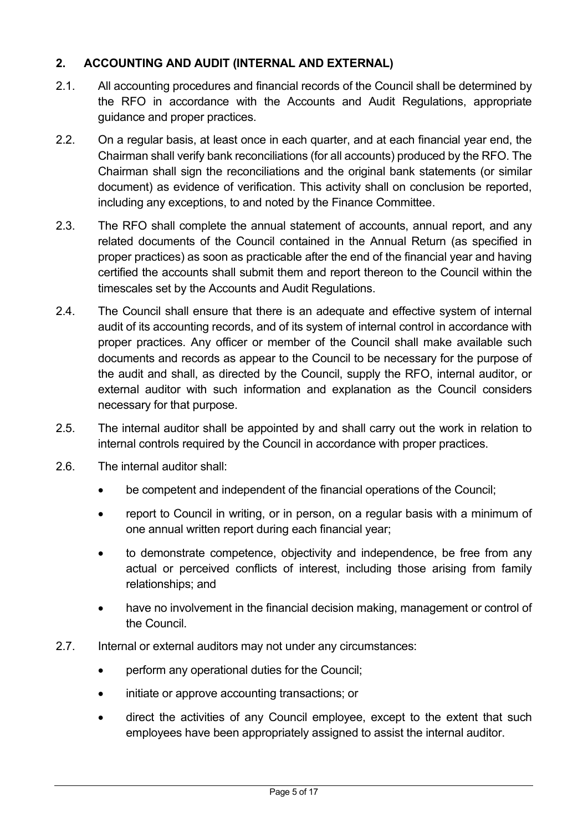### **2. ACCOUNTING AND AUDIT (INTERNAL AND EXTERNAL)**

- 2.1. All accounting procedures and financial records of the Council shall be determined by the RFO in accordance with the Accounts and Audit Regulations, appropriate guidance and proper practices.
- 2.2. On a regular basis, at least once in each quarter, and at each financial year end, the Chairman shall verify bank reconciliations (for all accounts) produced by the RFO. The Chairman shall sign the reconciliations and the original bank statements (or similar document) as evidence of verification. This activity shall on conclusion be reported, including any exceptions, to and noted by the Finance Committee.
- 2.3. The RFO shall complete the annual statement of accounts, annual report, and any related documents of the Council contained in the Annual Return (as specified in proper practices) as soon as practicable after the end of the financial year and having certified the accounts shall submit them and report thereon to the Council within the timescales set by the Accounts and Audit Regulations.
- 2.4. The Council shall ensure that there is an adequate and effective system of internal audit of its accounting records, and of its system of internal control in accordance with proper practices. Any officer or member of the Council shall make available such documents and records as appear to the Council to be necessary for the purpose of the audit and shall, as directed by the Council, supply the RFO, internal auditor, or external auditor with such information and explanation as the Council considers necessary for that purpose.
- 2.5. The internal auditor shall be appointed by and shall carry out the work in relation to internal controls required by the Council in accordance with proper practices.
- 2.6. The internal auditor shall:
	- be competent and independent of the financial operations of the Council;
	- report to Council in writing, or in person, on a regular basis with a minimum of one annual written report during each financial year;
	- to demonstrate competence, objectivity and independence, be free from any actual or perceived conflicts of interest, including those arising from family relationships; and
	- have no involvement in the financial decision making, management or control of the Council.
- 2.7. Internal or external auditors may not under any circumstances:
	- perform any operational duties for the Council;
	- initiate or approve accounting transactions; or
	- direct the activities of any Council employee, except to the extent that such employees have been appropriately assigned to assist the internal auditor.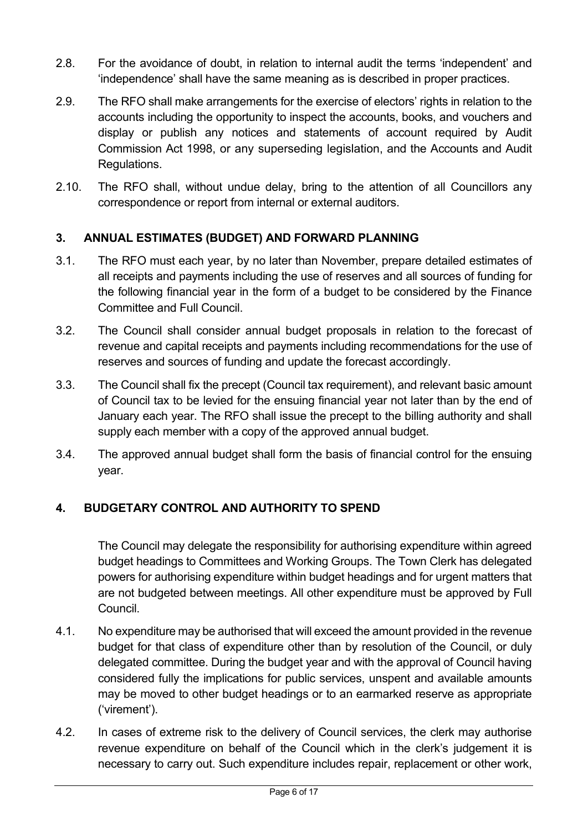- 2.8. For the avoidance of doubt, in relation to internal audit the terms 'independent' and 'independence' shall have the same meaning as is described in proper practices.
- 2.9. The RFO shall make arrangements for the exercise of electors' rights in relation to the accounts including the opportunity to inspect the accounts, books, and vouchers and display or publish any notices and statements of account required by Audit Commission Act 1998, or any superseding legislation, and the Accounts and Audit Regulations.
- 2.10. The RFO shall, without undue delay, bring to the attention of all Councillors any correspondence or report from internal or external auditors.

### **3. ANNUAL ESTIMATES (BUDGET) AND FORWARD PLANNING**

- 3.1. The RFO must each year, by no later than November, prepare detailed estimates of all receipts and payments including the use of reserves and all sources of funding for the following financial year in the form of a budget to be considered by the Finance Committee and Full Council.
- 3.2. The Council shall consider annual budget proposals in relation to the forecast of revenue and capital receipts and payments including recommendations for the use of reserves and sources of funding and update the forecast accordingly.
- 3.3. The Council shall fix the precept (Council tax requirement), and relevant basic amount of Council tax to be levied for the ensuing financial year not later than by the end of January each year. The RFO shall issue the precept to the billing authority and shall supply each member with a copy of the approved annual budget.
- 3.4. The approved annual budget shall form the basis of financial control for the ensuing year.

### **4. BUDGETARY CONTROL AND AUTHORITY TO SPEND**

The Council may delegate the responsibility for authorising expenditure within agreed budget headings to Committees and Working Groups. The Town Clerk has delegated powers for authorising expenditure within budget headings and for urgent matters that are not budgeted between meetings. All other expenditure must be approved by Full Council.

- 4.1. No expenditure may be authorised that will exceed the amount provided in the revenue budget for that class of expenditure other than by resolution of the Council, or duly delegated committee. During the budget year and with the approval of Council having considered fully the implications for public services, unspent and available amounts may be moved to other budget headings or to an earmarked reserve as appropriate ('virement').
- 4.2. In cases of extreme risk to the delivery of Council services, the clerk may authorise revenue expenditure on behalf of the Council which in the clerk's judgement it is necessary to carry out. Such expenditure includes repair, replacement or other work,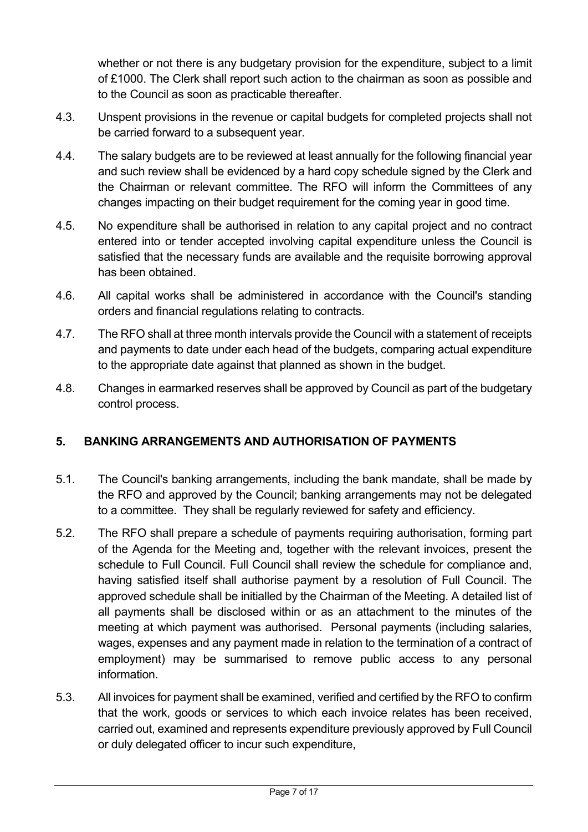whether or not there is any budgetary provision for the expenditure, subject to a limit of £1000. The Clerk shall report such action to the chairman as soon as possible and to the Council as soon as practicable thereafter.

- 4.3. Unspent provisions in the revenue or capital budgets for completed projects shall not be carried forward to a subsequent year.
- 4.4. The salary budgets are to be reviewed at least annually for the following financial year and such review shall be evidenced by a hard copy schedule signed by the Clerk and the Chairman or relevant committee. The RFO will inform the Committees of any changes impacting on their budget requirement for the coming year in good time.
- 4.5. No expenditure shall be authorised in relation to any capital project and no contract entered into or tender accepted involving capital expenditure unless the Council is satisfied that the necessary funds are available and the requisite borrowing approval has been obtained.
- 4.6. All capital works shall be administered in accordance with the Council's standing orders and financial regulations relating to contracts.
- 4.7. The RFO shall at three month intervals provide the Council with a statement of receipts and payments to date under each head of the budgets, comparing actual expenditure to the appropriate date against that planned as shown in the budget.
- 4.8. Changes in earmarked reserves shall be approved by Council as part of the budgetary control process.

### **5. BANKING ARRANGEMENTS AND AUTHORISATION OF PAYMENTS**

- 5.1. The Council's banking arrangements, including the bank mandate, shall be made by the RFO and approved by the Council; banking arrangements may not be delegated to a committee. They shall be regularly reviewed for safety and efficiency.
- 5.2. The RFO shall prepare a schedule of payments requiring authorisation, forming part of the Agenda for the Meeting and, together with the relevant invoices, present the schedule to Full Council. Full Council shall review the schedule for compliance and, having satisfied itself shall authorise payment by a resolution of Full Council. The approved schedule shall be initialled by the Chairman of the Meeting. A detailed list of all payments shall be disclosed within or as an attachment to the minutes of the meeting at which payment was authorised. Personal payments (including salaries, wages, expenses and any payment made in relation to the termination of a contract of employment) may be summarised to remove public access to any personal information.
- 5.3. All invoices for payment shall be examined, verified and certified by the RFO to confirm that the work, goods or services to which each invoice relates has been received, carried out, examined and represents expenditure previously approved by Full Council or duly delegated officer to incur such expenditure,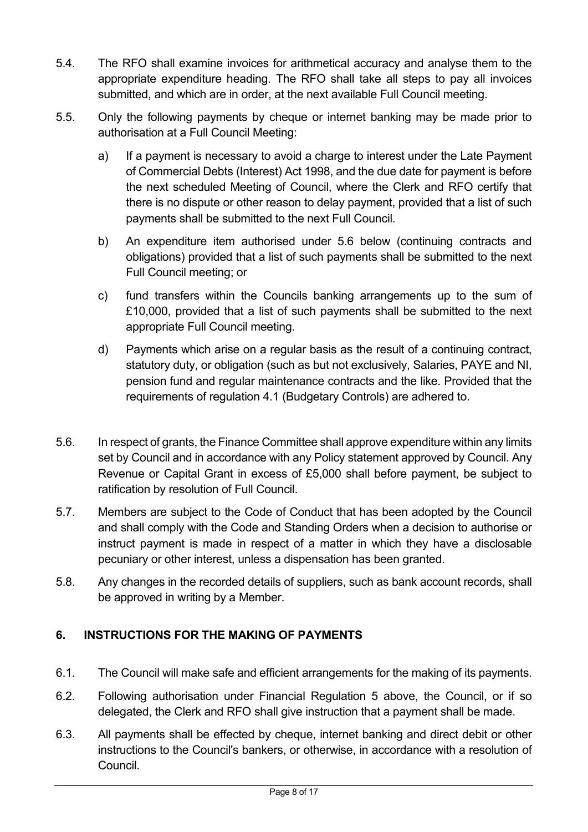- 5.4. The RFO shall examine invoices for arithmetical accuracy and analyse them to the appropriate expenditure heading. The RFO shall take all steps to pay all invoices submitted, and which are in order, at the next available Full Council meeting.
- 5.5. Only the following payments by cheque or internet banking may be made prior to authorisation at a Full Council Meeting:
	- a) If a payment is necessary to avoid a charge to interest under the Late Payment of Commercial Debts (Interest) Act 1998, and the due date for payment is before the next scheduled Meeting of Council, where the Clerk and RFO certify that there is no dispute or other reason to delay payment, provided that a list of such payments shall be submitted to the next Full Council.
	- b) An expenditure item authorised under 5.6 below (continuing contracts and obligations) provided that a list of such payments shall be submitted to the next Full Council meeting; or
	- c) fund transfers within the Councils banking arrangements up to the sum of £10,000, provided that a list of such payments shall be submitted to the next appropriate Full Council meeting.
	- d) Payments which arise on a regular basis as the result of a continuing contract, statutory duty, or obligation (such as but not exclusively, Salaries, PAYE and NI, pension fund and regular maintenance contracts and the like. Provided that the requirements of regulation 4.1 (Budgetary Controls) are adhered to.
- 5.6. In respect of grants, the Finance Committee shall approve expenditure within any limits set by Council and in accordance with any Policy statement approved by Council. Any Revenue or Capital Grant in excess of £5,000 shall before payment, be subject to ratification by resolution of Full Council.
- 5.7. Members are subject to the Code of Conduct that has been adopted by the Council and shall comply with the Code and Standing Orders when a decision to authorise or instruct payment is made in respect of a matter in which they have a disclosable pecuniary or other interest, unless a dispensation has been granted.
- 5.8. Any changes in the recorded details of suppliers, such as bank account records, shall be approved in writing by a Member.

# **6. INSTRUCTIONS FOR THE MAKING OF PAYMENTS**

- 6.1. The Council will make safe and efficient arrangements for the making of its payments.
- 6.2. Following authorisation under Financial Regulation 5 above, the Council, or if so delegated, the Clerk and RFO shall give instruction that a payment shall be made.
- 6.3. All payments shall be effected by cheque, internet banking and direct debit or other instructions to the Council's bankers, or otherwise, in accordance with a resolution of Council.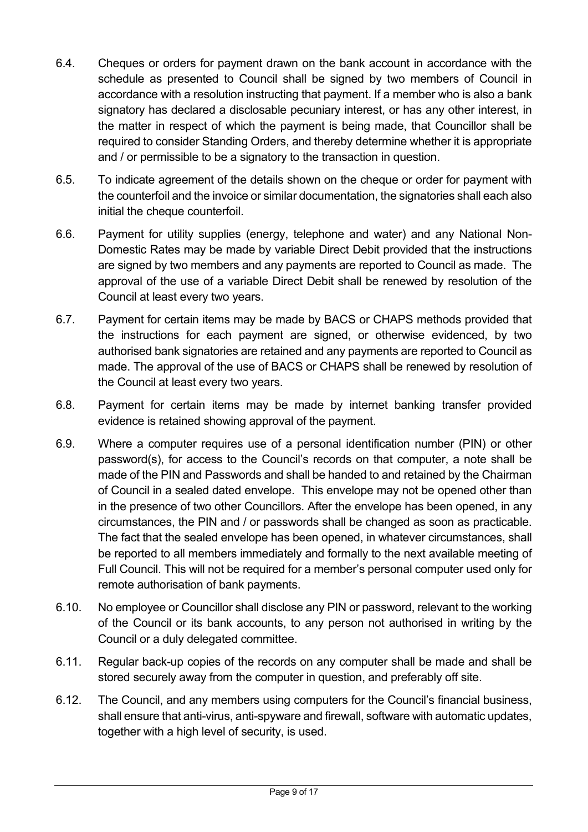- 6.4. Cheques or orders for payment drawn on the bank account in accordance with the schedule as presented to Council shall be signed by two members of Council in accordance with a resolution instructing that payment. If a member who is also a bank signatory has declared a disclosable pecuniary interest, or has any other interest, in the matter in respect of which the payment is being made, that Councillor shall be required to consider Standing Orders, and thereby determine whether it is appropriate and / or permissible to be a signatory to the transaction in question.
- 6.5. To indicate agreement of the details shown on the cheque or order for payment with the counterfoil and the invoice or similar documentation, the signatories shall each also initial the cheque counterfoil.
- 6.6. Payment for utility supplies (energy, telephone and water) and any National Non-Domestic Rates may be made by variable Direct Debit provided that the instructions are signed by two members and any payments are reported to Council as made. The approval of the use of a variable Direct Debit shall be renewed by resolution of the Council at least every two years.
- 6.7. Payment for certain items may be made by BACS or CHAPS methods provided that the instructions for each payment are signed, or otherwise evidenced, by two authorised bank signatories are retained and any payments are reported to Council as made. The approval of the use of BACS or CHAPS shall be renewed by resolution of the Council at least every two years.
- 6.8. Payment for certain items may be made by internet banking transfer provided evidence is retained showing approval of the payment.
- 6.9. Where a computer requires use of a personal identification number (PIN) or other password(s), for access to the Council's records on that computer, a note shall be made of the PIN and Passwords and shall be handed to and retained by the Chairman of Council in a sealed dated envelope. This envelope may not be opened other than in the presence of two other Councillors. After the envelope has been opened, in any circumstances, the PIN and / or passwords shall be changed as soon as practicable. The fact that the sealed envelope has been opened, in whatever circumstances, shall be reported to all members immediately and formally to the next available meeting of Full Council. This will not be required for a member's personal computer used only for remote authorisation of bank payments.
- 6.10. No employee or Councillor shall disclose any PIN or password, relevant to the working of the Council or its bank accounts, to any person not authorised in writing by the Council or a duly delegated committee.
- 6.11. Regular back-up copies of the records on any computer shall be made and shall be stored securely away from the computer in question, and preferably off site.
- 6.12. The Council, and any members using computers for the Council's financial business, shall ensure that anti-virus, anti-spyware and firewall, software with automatic updates, together with a high level of security, is used.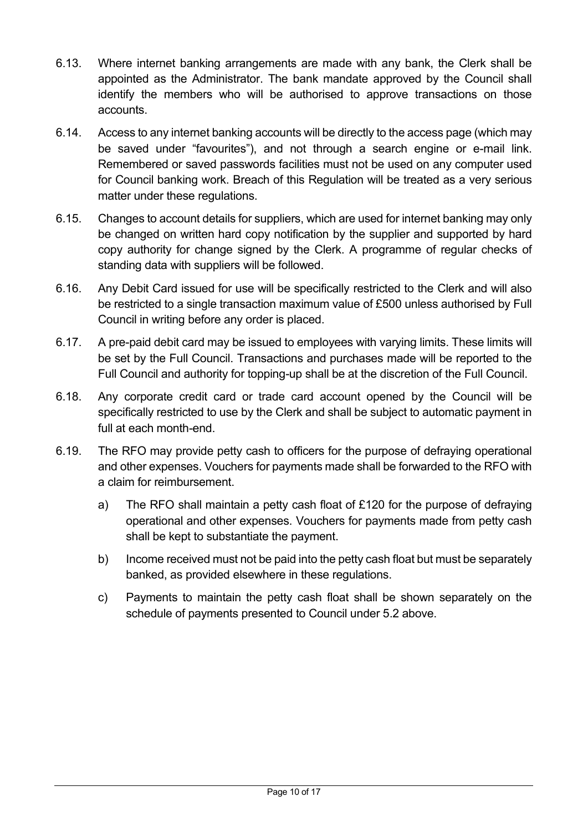- 6.13. Where internet banking arrangements are made with any bank, the Clerk shall be appointed as the Administrator. The bank mandate approved by the Council shall identify the members who will be authorised to approve transactions on those accounts.
- 6.14. Access to any internet banking accounts will be directly to the access page (which may be saved under "favourites"), and not through a search engine or e-mail link. Remembered or saved passwords facilities must not be used on any computer used for Council banking work. Breach of this Regulation will be treated as a very serious matter under these regulations.
- 6.15. Changes to account details for suppliers, which are used for internet banking may only be changed on written hard copy notification by the supplier and supported by hard copy authority for change signed by the Clerk. A programme of regular checks of standing data with suppliers will be followed.
- 6.16. Any Debit Card issued for use will be specifically restricted to the Clerk and will also be restricted to a single transaction maximum value of £500 unless authorised by Full Council in writing before any order is placed.
- 6.17. A pre-paid debit card may be issued to employees with varying limits. These limits will be set by the Full Council. Transactions and purchases made will be reported to the Full Council and authority for topping-up shall be at the discretion of the Full Council.
- 6.18. Any corporate credit card or trade card account opened by the Council will be specifically restricted to use by the Clerk and shall be subject to automatic payment in full at each month-end.
- 6.19. The RFO may provide petty cash to officers for the purpose of defraying operational and other expenses. Vouchers for payments made shall be forwarded to the RFO with a claim for reimbursement.
	- a) The RFO shall maintain a petty cash float of £120 for the purpose of defraying operational and other expenses. Vouchers for payments made from petty cash shall be kept to substantiate the payment.
	- b) Income received must not be paid into the petty cash float but must be separately banked, as provided elsewhere in these regulations.
	- c) Payments to maintain the petty cash float shall be shown separately on the schedule of payments presented to Council under 5.2 above.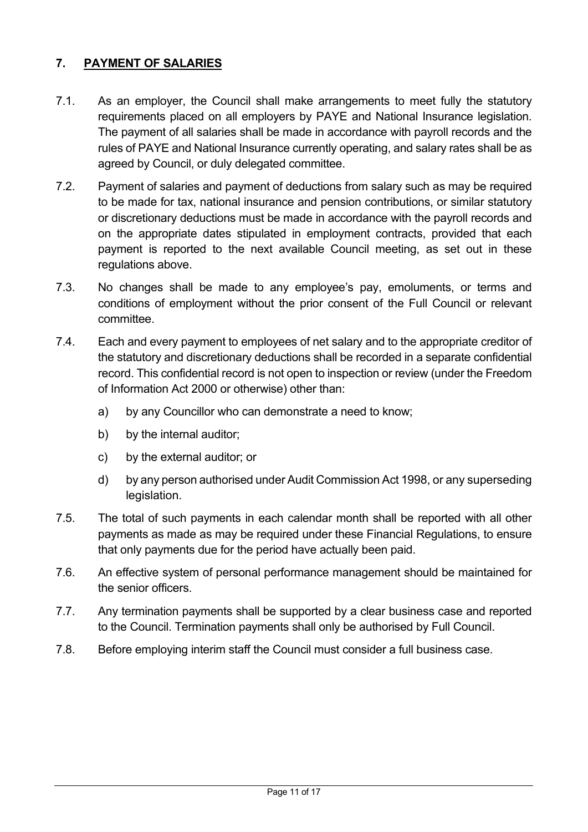### **7. PAYMENT OF SALARIES**

- 7.1. As an employer, the Council shall make arrangements to meet fully the statutory requirements placed on all employers by PAYE and National Insurance legislation. The payment of all salaries shall be made in accordance with payroll records and the rules of PAYE and National Insurance currently operating, and salary rates shall be as agreed by Council, or duly delegated committee.
- 7.2. Payment of salaries and payment of deductions from salary such as may be required to be made for tax, national insurance and pension contributions, or similar statutory or discretionary deductions must be made in accordance with the payroll records and on the appropriate dates stipulated in employment contracts, provided that each payment is reported to the next available Council meeting, as set out in these regulations above.
- 7.3. No changes shall be made to any employee's pay, emoluments, or terms and conditions of employment without the prior consent of the Full Council or relevant committee.
- 7.4. Each and every payment to employees of net salary and to the appropriate creditor of the statutory and discretionary deductions shall be recorded in a separate confidential record. This confidential record is not open to inspection or review (under the Freedom of Information Act 2000 or otherwise) other than:
	- a) by any Councillor who can demonstrate a need to know;
	- b) by the internal auditor;
	- c) by the external auditor; or
	- d) by any person authorised under Audit Commission Act 1998, or any superseding legislation.
- 7.5. The total of such payments in each calendar month shall be reported with all other payments as made as may be required under these Financial Regulations, to ensure that only payments due for the period have actually been paid.
- 7.6. An effective system of personal performance management should be maintained for the senior officers.
- 7.7. Any termination payments shall be supported by a clear business case and reported to the Council. Termination payments shall only be authorised by Full Council.
- 7.8. Before employing interim staff the Council must consider a full business case.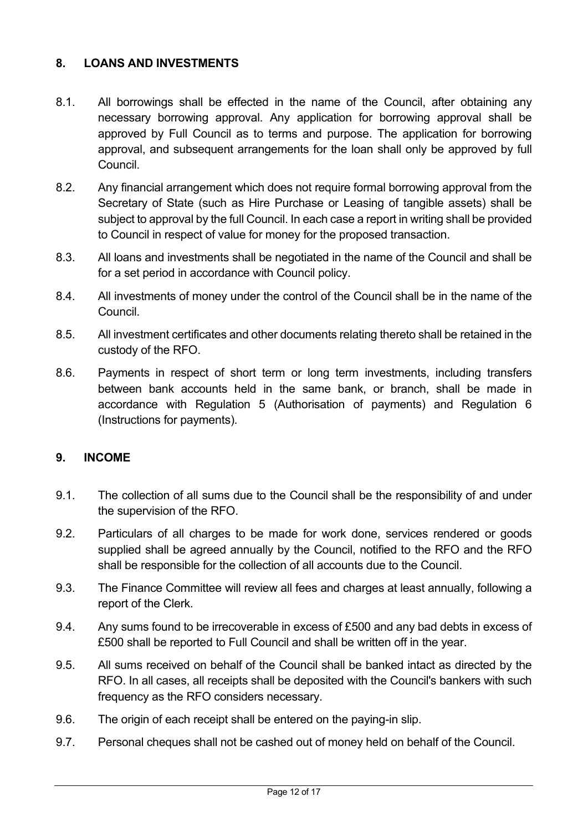#### **8. LOANS AND INVESTMENTS**

- 8.1. All borrowings shall be effected in the name of the Council, after obtaining any necessary borrowing approval. Any application for borrowing approval shall be approved by Full Council as to terms and purpose. The application for borrowing approval, and subsequent arrangements for the loan shall only be approved by full Council.
- 8.2. Any financial arrangement which does not require formal borrowing approval from the Secretary of State (such as Hire Purchase or Leasing of tangible assets) shall be subject to approval by the full Council. In each case a report in writing shall be provided to Council in respect of value for money for the proposed transaction.
- 8.3. All loans and investments shall be negotiated in the name of the Council and shall be for a set period in accordance with Council policy.
- 8.4. All investments of money under the control of the Council shall be in the name of the Council.
- 8.5. All investment certificates and other documents relating thereto shall be retained in the custody of the RFO.
- 8.6. Payments in respect of short term or long term investments, including transfers between bank accounts held in the same bank, or branch, shall be made in accordance with Regulation 5 (Authorisation of payments) and Regulation 6 (Instructions for payments).

#### **9. INCOME**

- 9.1. The collection of all sums due to the Council shall be the responsibility of and under the supervision of the RFO.
- 9.2. Particulars of all charges to be made for work done, services rendered or goods supplied shall be agreed annually by the Council, notified to the RFO and the RFO shall be responsible for the collection of all accounts due to the Council.
- 9.3. The Finance Committee will review all fees and charges at least annually, following a report of the Clerk.
- 9.4. Any sums found to be irrecoverable in excess of £500 and any bad debts in excess of £500 shall be reported to Full Council and shall be written off in the year.
- 9.5. All sums received on behalf of the Council shall be banked intact as directed by the RFO. In all cases, all receipts shall be deposited with the Council's bankers with such frequency as the RFO considers necessary.
- 9.6. The origin of each receipt shall be entered on the paying-in slip.
- 9.7. Personal cheques shall not be cashed out of money held on behalf of the Council.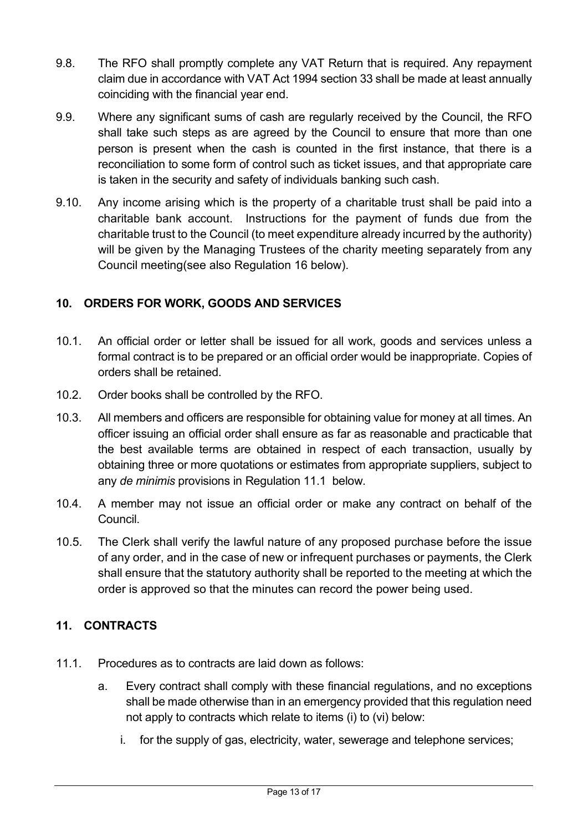- 9.8. The RFO shall promptly complete any VAT Return that is required. Any repayment claim due in accordance with VAT Act 1994 section 33 shall be made at least annually coinciding with the financial year end.
- 9.9. Where any significant sums of cash are regularly received by the Council, the RFO shall take such steps as are agreed by the Council to ensure that more than one person is present when the cash is counted in the first instance, that there is a reconciliation to some form of control such as ticket issues, and that appropriate care is taken in the security and safety of individuals banking such cash.
- 9.10. Any income arising which is the property of a charitable trust shall be paid into a charitable bank account. Instructions for the payment of funds due from the charitable trust to the Council (to meet expenditure already incurred by the authority) will be given by the Managing Trustees of the charity meeting separately from any Council meeting(see also Regulation 16 below).

### **10. ORDERS FOR WORK, GOODS AND SERVICES**

- 10.1. An official order or letter shall be issued for all work, goods and services unless a formal contract is to be prepared or an official order would be inappropriate. Copies of orders shall be retained.
- 10.2. Order books shall be controlled by the RFO.
- 10.3. All members and officers are responsible for obtaining value for money at all times. An officer issuing an official order shall ensure as far as reasonable and practicable that the best available terms are obtained in respect of each transaction, usually by obtaining three or more quotations or estimates from appropriate suppliers, subject to any *de minimis* provisions in Regulation 11.1 below.
- 10.4. A member may not issue an official order or make any contract on behalf of the Council.
- 10.5. The Clerk shall verify the lawful nature of any proposed purchase before the issue of any order, and in the case of new or infrequent purchases or payments, the Clerk shall ensure that the statutory authority shall be reported to the meeting at which the order is approved so that the minutes can record the power being used.

### **11. CONTRACTS**

- 11.1. Procedures as to contracts are laid down as follows:
	- a. Every contract shall comply with these financial regulations, and no exceptions shall be made otherwise than in an emergency provided that this regulation need not apply to contracts which relate to items (i) to (vi) below:
		- i. for the supply of gas, electricity, water, sewerage and telephone services;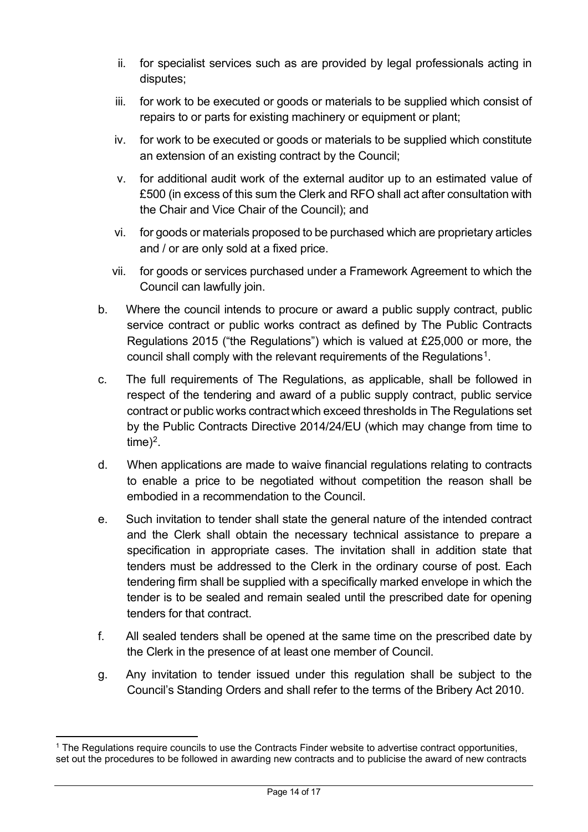- ii. for specialist services such as are provided by legal professionals acting in disputes;
- iii. for work to be executed or goods or materials to be supplied which consist of repairs to or parts for existing machinery or equipment or plant;
- iv. for work to be executed or goods or materials to be supplied which constitute an extension of an existing contract by the Council;
- v. for additional audit work of the external auditor up to an estimated value of £500 (in excess of this sum the Clerk and RFO shall act after consultation with the Chair and Vice Chair of the Council); and
- vi. for goods or materials proposed to be purchased which are proprietary articles and / or are only sold at a fixed price.
- vii. for goods or services purchased under a Framework Agreement to which the Council can lawfully join.
- b. Where the council intends to procure or award a public supply contract, public service contract or public works contract as defined by The Public Contracts Regulations 2015 ("the Regulations") which is valued at £25,000 or more, the council shall comply with the relevant requirements of the Regulations<sup>[1](#page-15-0)</sup>.
- c. The full requirements of The Regulations, as applicable, shall be followed in respect of the tendering and award of a public supply contract, public service contract or public works contractwhich exceed thresholds in The Regulations set by the Public Contracts Directive 2014/24/EU (which may change from time to time $)^2$ .
- d. When applications are made to waive financial regulations relating to contracts to enable a price to be negotiated without competition the reason shall be embodied in a recommendation to the Council.
- e. Such invitation to tender shall state the general nature of the intended contract and the Clerk shall obtain the necessary technical assistance to prepare a specification in appropriate cases. The invitation shall in addition state that tenders must be addressed to the Clerk in the ordinary course of post. Each tendering firm shall be supplied with a specifically marked envelope in which the tender is to be sealed and remain sealed until the prescribed date for opening tenders for that contract.
- f. All sealed tenders shall be opened at the same time on the prescribed date by the Clerk in the presence of at least one member of Council.
- g. Any invitation to tender issued under this regulation shall be subject to the Council's Standing Orders and shall refer to the terms of the Bribery Act 2010.

<sup>1</sup> The Regulations require councils to use the Contracts Finder website to advertise contract opportunities, set out the procedures to be followed in awarding new contracts and to publicise the award of new contracts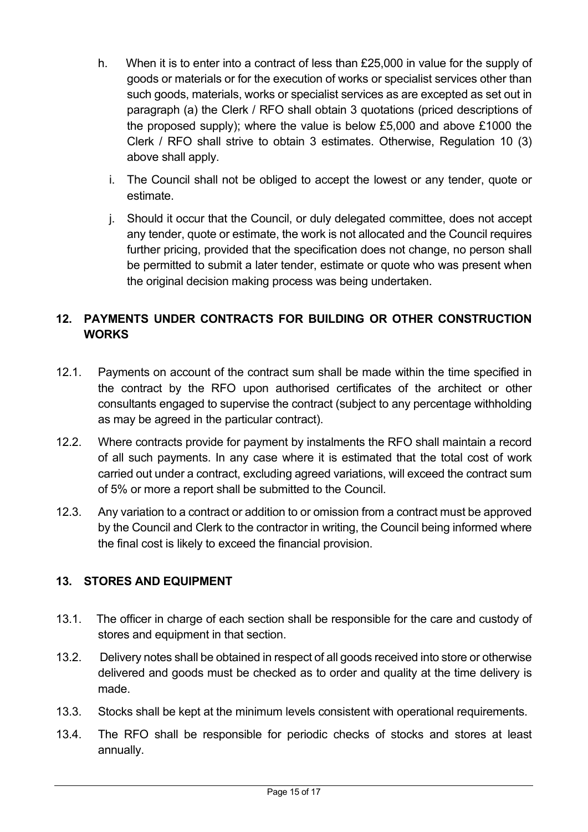- h. When it is to enter into a contract of less than £25,000 in value for the supply of goods or materials or for the execution of works or specialist services other than such goods, materials, works or specialist services as are excepted as set out in paragraph (a) the Clerk / RFO shall obtain 3 quotations (priced descriptions of the proposed supply); where the value is below £5,000 and above £1000 the Clerk / RFO shall strive to obtain 3 estimates. Otherwise, Regulation 10 (3) above shall apply.
	- i. The Council shall not be obliged to accept the lowest or any tender, quote or estimate.
	- j. Should it occur that the Council, or duly delegated committee, does not accept any tender, quote or estimate, the work is not allocated and the Council requires further pricing, provided that the specification does not change, no person shall be permitted to submit a later tender, estimate or quote who was present when the original decision making process was being undertaken.

### **12. PAYMENTS UNDER CONTRACTS FOR BUILDING OR OTHER CONSTRUCTION WORKS**

- 12.1. Payments on account of the contract sum shall be made within the time specified in the contract by the RFO upon authorised certificates of the architect or other consultants engaged to supervise the contract (subject to any percentage withholding as may be agreed in the particular contract).
- 12.2. Where contracts provide for payment by instalments the RFO shall maintain a record of all such payments. In any case where it is estimated that the total cost of work carried out under a contract, excluding agreed variations, will exceed the contract sum of 5% or more a report shall be submitted to the Council.
- 12.3. Any variation to a contract or addition to or omission from a contract must be approved by the Council and Clerk to the contractor in writing, the Council being informed where the final cost is likely to exceed the financial provision.

### **13. STORES AND EQUIPMENT**

- 13.1. The officer in charge of each section shall be responsible for the care and custody of stores and equipment in that section.
- 13.2. Delivery notes shall be obtained in respect of all goods received into store or otherwise delivered and goods must be checked as to order and quality at the time delivery is made.
- 13.3. Stocks shall be kept at the minimum levels consistent with operational requirements.
- 13.4. The RFO shall be responsible for periodic checks of stocks and stores at least annually.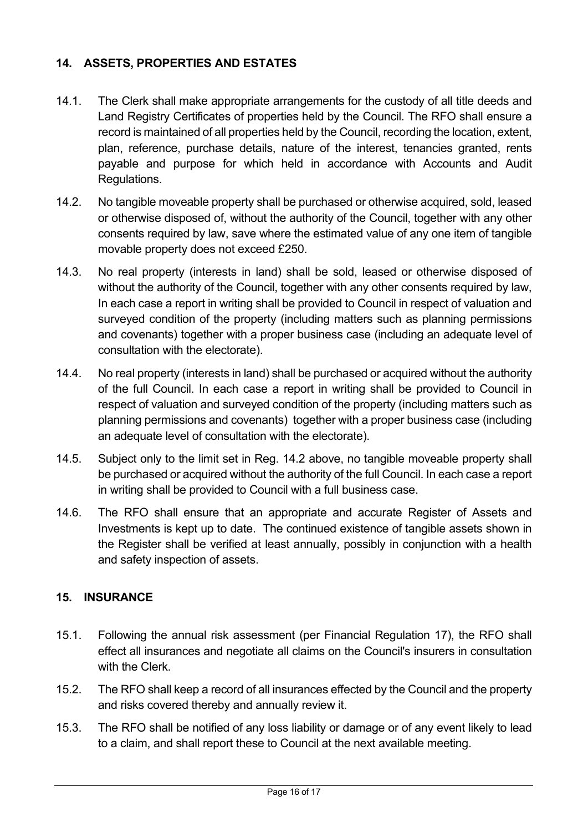### **14. ASSETS, PROPERTIES AND ESTATES**

- 14.1. The Clerk shall make appropriate arrangements for the custody of all title deeds and Land Registry Certificates of properties held by the Council. The RFO shall ensure a record is maintained of all properties held by the Council, recording the location, extent, plan, reference, purchase details, nature of the interest, tenancies granted, rents payable and purpose for which held in accordance with Accounts and Audit Regulations.
- 14.2. No tangible moveable property shall be purchased or otherwise acquired, sold, leased or otherwise disposed of, without the authority of the Council, together with any other consents required by law, save where the estimated value of any one item of tangible movable property does not exceed £250.
- 14.3. No real property (interests in land) shall be sold, leased or otherwise disposed of without the authority of the Council, together with any other consents required by law, In each case a report in writing shall be provided to Council in respect of valuation and surveyed condition of the property (including matters such as planning permissions and covenants) together with a proper business case (including an adequate level of consultation with the electorate).
- 14.4. No real property (interests in land) shall be purchased or acquired without the authority of the full Council. In each case a report in writing shall be provided to Council in respect of valuation and surveyed condition of the property (including matters such as planning permissions and covenants) together with a proper business case (including an adequate level of consultation with the electorate).
- 14.5. Subject only to the limit set in Reg. 14.2 above, no tangible moveable property shall be purchased or acquired without the authority of the full Council. In each case a report in writing shall be provided to Council with a full business case.
- 14.6. The RFO shall ensure that an appropriate and accurate Register of Assets and Investments is kept up to date. The continued existence of tangible assets shown in the Register shall be verified at least annually, possibly in conjunction with a health and safety inspection of assets.

#### **15. INSURANCE**

- 15.1. Following the annual risk assessment (per Financial Regulation 17), the RFO shall effect all insurances and negotiate all claims on the Council's insurers in consultation with the Clerk
- 15.2. The RFO shall keep a record of all insurances effected by the Council and the property and risks covered thereby and annually review it.
- <span id="page-15-1"></span><span id="page-15-0"></span>15.3. The RFO shall be notified of any loss liability or damage or of any event likely to lead to a claim, and shall report these to Council at the next available meeting.